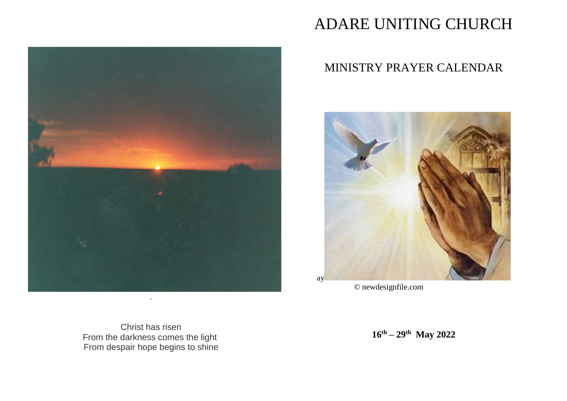

# ADARE UNITING CHURCH

## MINISTRY PRAYER CALENDAR



© newdesignfile.com

Christ has risen From the darkness comes the light From despair hope begins to shine

**16th – 29th May 2022**